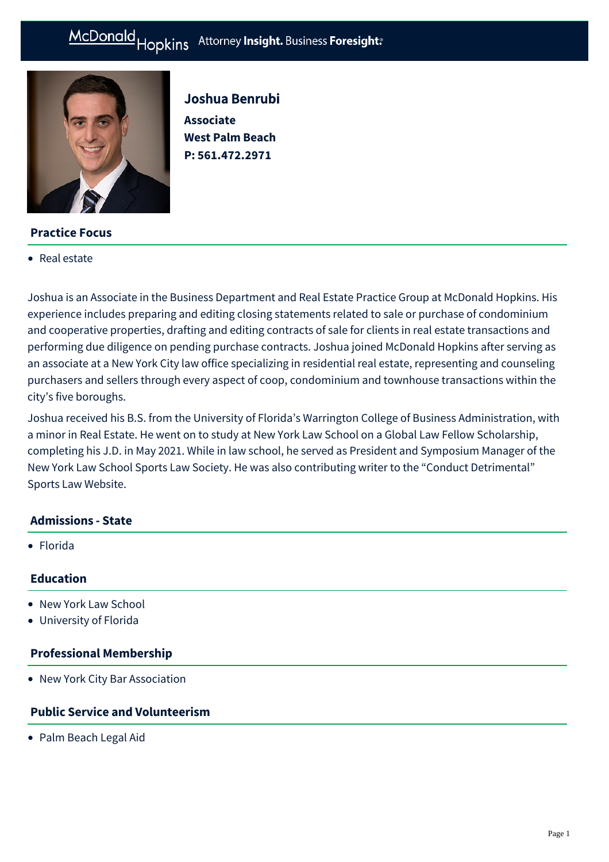# McDonald Hopkins Attorney Insight. Business Foresight:



# **Practice Focus**

• [Real estate](https://mcdonaldhopkins.com/Expertise/Business-counseling/Business-Restart-Task-Force/Real-estate)

Joshua Benrubi **Associate West Palm Beach P: [561.472.2971](tel:561.472.2971)**

Joshua is an Associate in the Business Department and Real Estate Practice Group at McDonald Hopkins. His experience includes preparing and editing closing statements related to sale or purchase of condominium and cooperative properties, drafting and editing contracts of sale for clients in real estate transactions and performing due diligence on pending purchase contracts. Joshua joined McDonald Hopkins after serving as an associate at a New York City law office specializing in residential real estate, representing and counseling purchasers and sellers through every aspect of coop, condominium and townhouse transactions within the city's five boroughs.

Joshua received his B.S. from the University of Florida's Warrington College of Business Administration, with a minor in Real Estate. He went on to study at New York Law School on a Global Law Fellow Scholarship, completing his J.D. in May 2021. While in law school, he served as President and Symposium Manager of the New York Law School Sports Law Society. He was also contributing writer to the "Conduct Detrimental" Sports Law Website.

#### **Admissions - State**

Florida

#### **Education**

- New York Law School
- University of Florida

#### **Professional Membership**

New York City Bar Association

## **Public Service and Volunteerism**

• Palm Beach Legal Aid